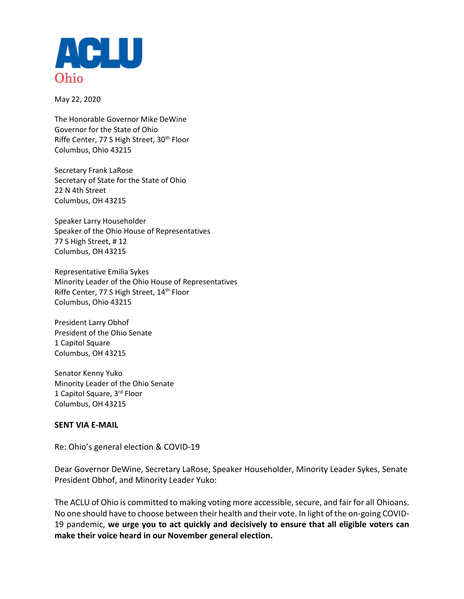

May 22, 2020

The Honorable Governor Mike DeWine Governor for the State of Ohio Riffe Center, 77 S High Street, 30<sup>th</sup> Floor Columbus, Ohio 43215

Secretary Frank LaRose Secretary of State for the State of Ohio 22 N 4th Street Columbus, OH 43215

Speaker Larry Householder Speaker of the Ohio House of Representatives 77 S High Street, # 12 Columbus, OH 43215

Representative Emilia Sykes Minority Leader of the Ohio House of Representatives Riffe Center, 77 S High Street, 14<sup>th</sup> Floor Columbus, Ohio 43215

President Larry Obhof President of the Ohio Senate 1 Capitol Square Columbus, OH 43215

Senator Kenny Yuko Minority Leader of the Ohio Senate 1 Capitol Square, 3rd Floor Columbus, OH 43215

## **SENT VIA E-MAIL**

Re: Ohio's general election & COVID-19

Dear Governor DeWine, Secretary LaRose, Speaker Householder, Minority Leader Sykes, Senate President Obhof, and Minority Leader Yuko:

The ACLU of Ohio is committed to making voting more accessible, secure, and fair for all Ohioans. No one should have to choose between their health and their vote. In light of the on-going COVID-19 pandemic, **we urge you to act quickly and decisively to ensure that all eligible voters can make their voice heard in our November general election.**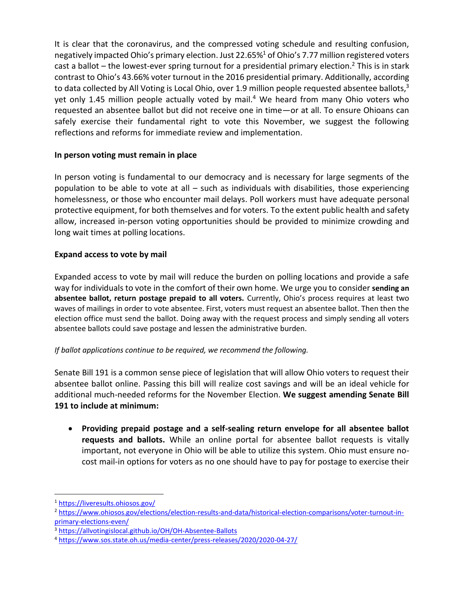It is clear that the coronavirus, and the compressed voting schedule and resulting confusion, negatively impacted Ohio's primary election. Just 22.65%<sup>1</sup> of Ohio's 7.77 million registered voters cast a ballot – the lowest-ever spring turnout for a presidential primary election.<sup>2</sup> This is in stark contrast to Ohio's 43.66% voter turnout in the 2016 presidential primary. Additionally, according to data collected by All Voting is Local Ohio, over 1.9 million people requested absentee ballots,<sup>3</sup> yet only 1.45 million people actually voted by mail. $4$  We heard from many Ohio voters who requested an absentee ballot but did not receive one in time—or at all. To ensure Ohioans can safely exercise their fundamental right to vote this November, we suggest the following reflections and reforms for immediate review and implementation.

## **In person voting must remain in place**

In person voting is fundamental to our democracy and is necessary for large segments of the population to be able to vote at all – such as individuals with disabilities, those experiencing homelessness, or those who encounter mail delays. Poll workers must have adequate personal protective equipment, for both themselves and for voters. To the extent public health and safety allow, increased in-person voting opportunities should be provided to minimize crowding and long wait times at polling locations.

## **Expand access to vote by mail**

Expanded access to vote by mail will reduce the burden on polling locations and provide a safe way for individuals to vote in the comfort of their own home. We urge you to consider **sending an absentee ballot, return postage prepaid to all voters.** Currently, Ohio's process requires at least two waves of mailings in order to vote absentee. First, voters must request an absentee ballot. Then then the election office must send the ballot. Doing away with the request process and simply sending all voters absentee ballots could save postage and lessen the administrative burden.

## *If ballot applications continue to be required, we recommend the following.*

Senate Bill 191 is a common sense piece of legislation that will allow Ohio voters to request their absentee ballot online. Passing this bill will realize cost savings and will be an ideal vehicle for additional much-needed reforms for the November Election. **We suggest amending Senate Bill 191 to include at minimum:**

 **Providing prepaid postage and a self-sealing return envelope for all absentee ballot requests and ballots.** While an online portal for absentee ballot requests is vitally important, not everyone in Ohio will be able to utilize this system. Ohio must ensure nocost mail-in options for voters as no one should have to pay for postage to exercise their

l

<sup>1</sup> <https://liveresults.ohiosos.gov/>

<sup>2</sup> [https://www.ohiosos.gov/elections/election-results-and-data/historical-election-comparisons/voter-turnout-in](https://www.ohiosos.gov/elections/election-results-and-data/historical-election-comparisons/voter-turnout-in-primary-elections-even/)[primary-elections-even/](https://www.ohiosos.gov/elections/election-results-and-data/historical-election-comparisons/voter-turnout-in-primary-elections-even/)

<sup>3</sup> <https://allvotingislocal.github.io/OH/OH-Absentee-Ballots>

<sup>4</sup> <https://www.sos.state.oh.us/media-center/press-releases/2020/2020-04-27/>